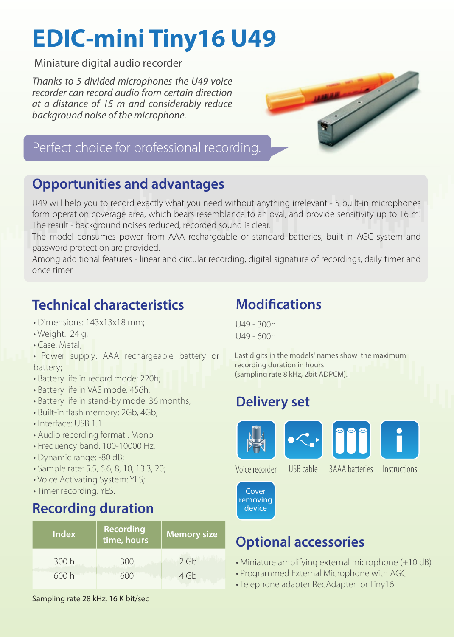# **EDIC-mini Tiny16 U49**

Miniature digital audio recorder

*Thanks to 5 divided microphones the U49 voice recorder can record audio from certain direction at a distance of 15 m and considerably reduce background noise of the microphone.*



#### Perfect choice for professional recording.

#### **Opportunities and advantages**

U49 will help you to record exactly what you need without anything irrelevant - 5 built-in microphones form operation coverage area, which bears resemblance to an oval, and provide sensitivity up to 16 m! The result - background noises reduced, recorded sound is clear.

The model consumes power from AAA rechargeable or standard batteries, built-in AGC system and password protection are provided.

Among additional features - linear and circular recording, digital signature of recordings, daily timer and once timer.

#### **Technical characteristics**

- Dimensions: 143x13x18 mm;
- Weight: 24 g;
- Case: Metal;
- Power supply: AAA rechargeable battery or battery;
- Battery life in record mode: 220h;
- Battery life in VAS mode: 456h;
- Battery life in stand-by mode: 36 months;
- Built-in flash memory: 2Gb, 4Gb;
- Interface: USB 1.1
- Audio recording format : Mono;
- Frequency band: 100-10000 Hz;
- Dynamic range: -80 dB;
- Sample rate: 5.5, 6.6, 8, 10, 13.3, 20;
- Voice Activating System: YES;
- Timer recording: YES.

#### **Recording duration**

| <b>Index</b> | Recording<br>time, hours | <b>Memory size</b> |
|--------------|--------------------------|--------------------|
| 300 h        | 300                      | 2 Gb               |
| 600h         | 600                      | 4 Gb               |

Sampling rate 28 kHz, 16 K bit/sec

#### **Modifications**

U49 - 300h U49 - 600h

Last digits in the models' names show the maximum recording duration in hours (sampling rate 8 kHz, 2bit ADPCM).

## **Delivery set**









Voice recorder

USB cable 3AAA batteries Instructions



## **Optional accessories**

- Miniature amplifying external microphone (+10 dB)
- Programmed External Microphone with AGC
- Telephone adapter RecAdapter for Tiny16